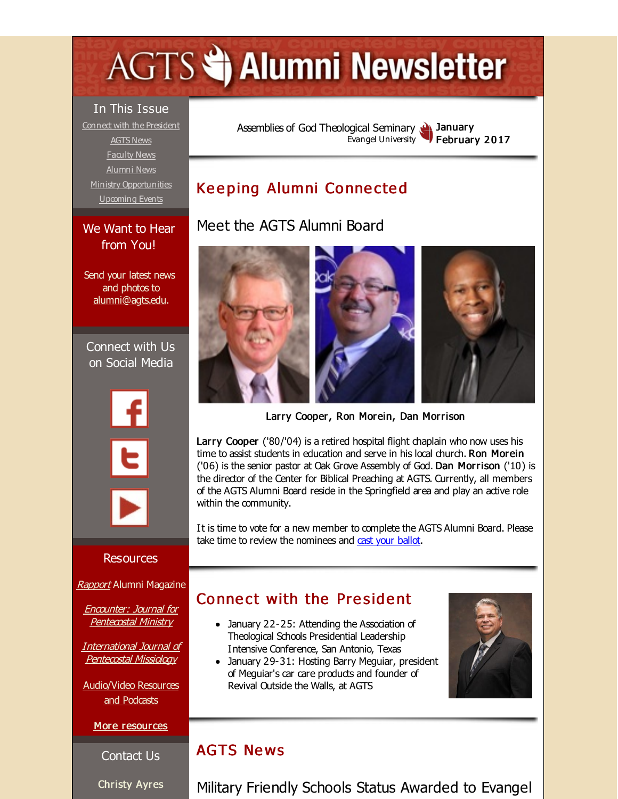# <span id="page-0-0"></span>**AGTS Statement Newsletter**

In This Issue

Connect with the [President](#page-0-0) [AGTS](#page-0-0) News [Faculty](#page-0-0) News [Alumni](#page-0-0) News Ministry [Opportunities](#page-0-0) [Upcoming](#page-0-0) Events

We Want to Hear from You!

Send your latest news and photos to [alumni@agts.edu.](mailto:alumni@agts.edu)

Connect with Us on Social Media

#### Assemblies of God [Theological](http://r20.rs6.net/tn.jsp?f=001qNRvmaCXpNg-IymFoJej_VyFXgsE0vulMJDPxyiChsedMjsiysYJ-OiPOBxbmfn8MiFOSOYyhQHF6QY1Cj6taFMqwAr0ccyvdbCw0eVtH6lA4QhgcTl4my7_eF3bgdu0Rw38y58Bn5Ftn9pqQinLib2QVie0lx1j&c=&ch=) Seminary Evangel University **January** February 2017

# Keeping Alumni Connected

# Meet the AGTS Alumni Board



Larry Cooper, Ron Morein, Dan Morrison

Larry Cooper ('80/'04) is a retired hospital flight chaplain who now uses his time to assist students in education and serve in his local church. Ron Morein ('06) is the senior pastor at Oak Grove Assembly of God. Dan Morrison ('10) is the director of the Center for Biblical Preaching at AGTS. Currently, all members of the AGTS Alumni Board reside in the Springfield area and play an active role within the community.

It is time to vote for a new member to complete the AGTS Alumni Board. Please take time to review the nominees and cast your [ballot](http://r20.rs6.net/tn.jsp?f=001qNRvmaCXpNg-IymFoJej_VyFXgsE0vulMJDPxyiChsedMjsiysYJ-FEl9Ej1pKlWzINWgXoYfK63rzlfbbt_XEG8uYXZp9crZGnScGhAp2jGCVEyXgmz82A2aCdN_-jUwtQ3I8gXHAv8sdzpFpiHZIBSvgQ8yFhU4LhdCDoincu92NTtw5ztGg==&c=&ch=).

## Connect with the President

- January 22-25: Attending the Association of Theological Schools Presidential Leadership Intensive Conference, San Antonio, Texas
- January 29-31: Hosting Barry Meguiar, president of Meguiar's car care products and founder of Revival Outside the Walls, at AGTS



#### **AGTS News**

Military Friendly Schools Status Awarded to Evangel

Resources

[Rapport](http://r20.rs6.net/tn.jsp?f=001qNRvmaCXpNg-IymFoJej_VyFXgsE0vulMJDPxyiChsedMjsiysYJ-KzCOTSYsJJkBY3hTQYUg3S7Y2uGj7ItxXUIdMiEAJ4pwSvR0SCVBlWvN4pKqo2xCoxrSGpSrLVxmFbO52kRnZw1-a1NiFZn_Z3p6R4-ZAbwe_3e0Oa_42aglVZVkVsRQzbdskTAYmK2&c=&ch=) Alumni Magazine

Encounter: Journal for [Pentecostal](http://r20.rs6.net/tn.jsp?f=001qNRvmaCXpNg-IymFoJej_VyFXgsE0vulMJDPxyiChsedMjsiysYJ-MrT-J2IJbSMqT9Rr2eoyqet18Ed5JOnyw1QI_pW-nwBP45HFZTQ5ia8uoBxIi4sarnmAk6XHA7Y0ECcBcYZqZe9EN24uc2fuHq5KIeUgBftF3D-k0xh5KHfGMkTnHlpwjfJIAkcs9XC&c=&ch=) Ministry

[International](http://r20.rs6.net/tn.jsp?f=001qNRvmaCXpNg-IymFoJej_VyFXgsE0vulMJDPxyiChsedMjsiysYJ-LY-34Mnl2GCbsOWUD_fm_yrMb6CugfPVoJoX5yhB4XE847ySWOHIvS2q8uNPI_vnnzjd6d-RiCfRU7Ws39lt9tcC3IVDG_VH2jyOFYBorV9JcZZuYh7E2w7NdLKzbj__UINbu8nSbW3&c=&ch=) Journal of Pentecostal Missiology

[Audio/Video](http://r20.rs6.net/tn.jsp?f=001qNRvmaCXpNg-IymFoJej_VyFXgsE0vulMJDPxyiChsedMjsiysYJ-O7attsh8AUo24jOXlw8v73MDpAdmEiIy_Zi0ns4fuSgY08ej3yc7zxeAZkYuOacG0rvJiCbDCKt7EVaH9Cd0Wz9_SO0G00ORZIW4LiUXjD0RYgxtS2x1_71P6_Mi-8prgqUFUaUXnil&c=&ch=) Resources and Podcasts

More [resources](http://r20.rs6.net/tn.jsp?f=001qNRvmaCXpNg-IymFoJej_VyFXgsE0vulMJDPxyiChsedMjsiysYJ-A8QERLC4s_7R4KUpUAMzyaJ9LktXisIwknYc6o_7HAcvA5VMSJIH-GgyGotCLBUzOTyBfnlyYNdptI6VxKZ6jeL35WmfVsuNL1s6pMcw_6qDZBf5ZmTWBoTrHBbOE2VPLa0v9Y2PcZed1ntK4Jei5c=&c=&ch=)

Contact Us

Christy Ayres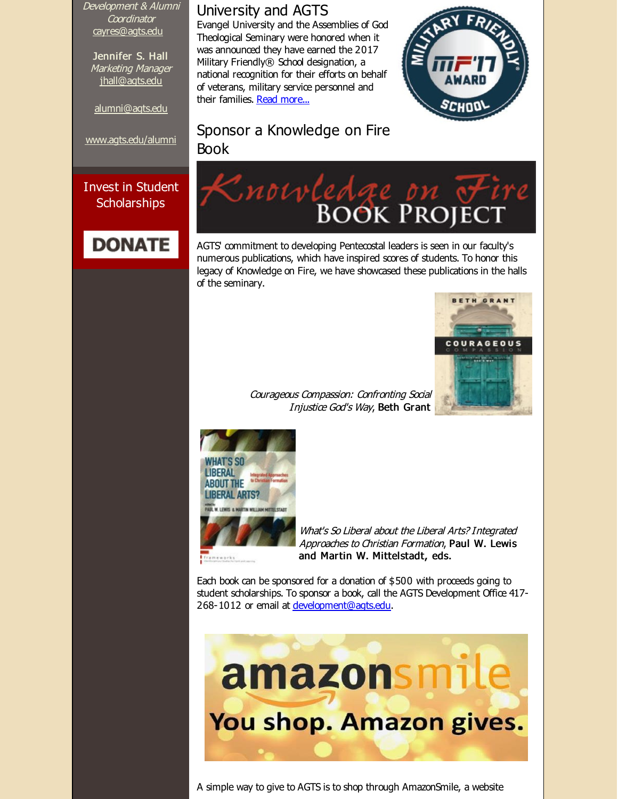Development & Alumni Coordinator [cayres@agts.edu](mailto:cayres@agts.edu)

Jennifer S. Hall Marketing Manager [jhall@agts.edu](mailto:jhall@agts.edu)

[alumni@agts.edu](mailto:alumni@agts.edu)

[www.agts.edu/alumni](http://r20.rs6.net/tn.jsp?f=001qNRvmaCXpNg-IymFoJej_VyFXgsE0vulMJDPxyiChsedMjsiysYJ-CXaTiNkk6WlsM4F8IeGXMSson4gvT_or0X1BNJSJIQY0iP8XACOga292a4CiiyLxBVoFJZ9pXejw3upaNXSV7wTFxrFtrGj9uOl4UeSeWGqT48tUA-7ZJV096r5-XrqNg==&c=&ch=)

Invest in Student **Scholarships** 

# **DONATE**

#### University and AGTS

Evangel University and the Assemblies of God Theological Seminary were honored when it was announced they have earned the 2017 Military Friendly® School designation, a national recognition for their efforts on behalf of veterans, military service personnel and their families. Read [more...](http://r20.rs6.net/tn.jsp?f=001qNRvmaCXpNg-IymFoJej_VyFXgsE0vulMJDPxyiChsedMjsiysYJ-FEl9Ej1pKlW0xepl7fO1DOrePVQa5md-bxCIb_N3CqhXoCKQgHR72GzVx8EyHpCQanm2fLyXrABKQO_UTZOFvf4VuFOPyFHMskwfhHzvbN9kqSkmCyq0iFWe_ExbHcwvXIRWa0pcWtMRBLGWyTFGUbjkCoO8jCO6KjGCP914d4sT7MEo5ees5GqOi0obCOFGbkLMkkp3cldiCVTKVBrSGB6t8pxhj45zI5gfnzVmySWuHA_K-FWL9vQ21esJ0mbI4iNIwsurIbpyyPOzZ242hnIzhSIMqmTrw==&c=&ch=)



#### Sponsor a Knowledge on Fire Book



AGTS' commitment to developing Pentecostal leaders is seen in our faculty's numerous publications, which have inspired scores of students. To honor this legacy of Knowledge on Fire, we have showcased these publications in the halls of the seminary.



Courageous Compassion: Confronting Social Injustice God's Way, Beth Grant



What's So Liberal about the Liberal Arts? Integrated Approaches to Christian Formation, Paul W. Lewis and Martin W. Mittelstadt, eds.

Each book can be sponsored for a donation of \$500 with proceeds going to student scholarships. To sponsor a book, call the AGTS Development Office 417- 268-1012 or email at [development@agts.edu](mailto:development@agts.edu).



A simple way to give to AGTS is to shop through AmazonSmile, a website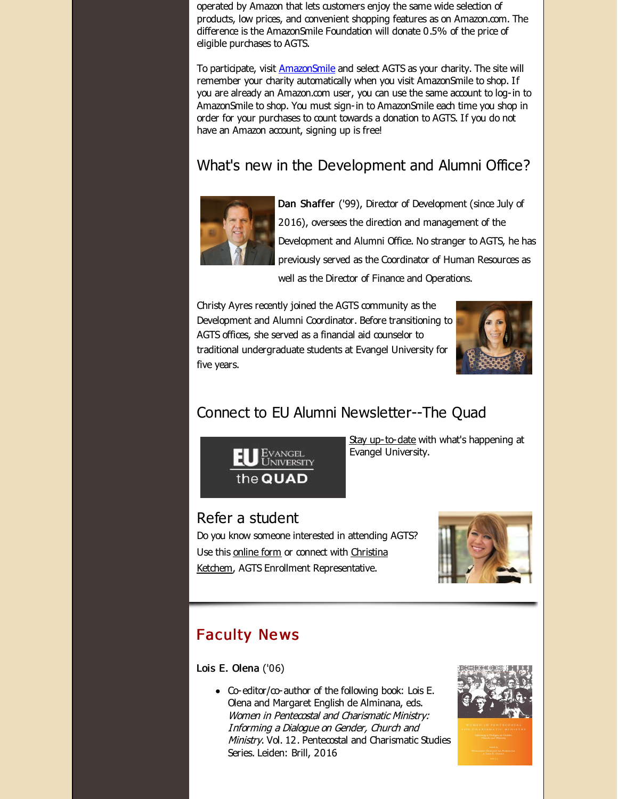operated by Amazon that lets customers enjoy the same wide selection of products, low prices, and convenient shopping features as on Amazon.com. The difference is the AmazonSmile Foundation will donate 0.5% of the price of eligible purchases to AGTS.

To participate, visit [AmazonSmile](http://r20.rs6.net/tn.jsp?f=001qNRvmaCXpNg-IymFoJej_VyFXgsE0vulMJDPxyiChsedMjsiysYJ-FEl9Ej1pKlWLJqFlAxzW2IdJNNkuCW0RI7MLchIdqLs4u-UnjG2-jhRUz-yacin5-5pjpwhSsS708P0qK1SG9FdxAUHxhkqJbROZdM607hDy-_aRVTrU18=&c=&ch=) and select AGTS as your charity. The site will remember your charity automatically when you visit AmazonSmile to shop. If you are already an Amazon.com user, you can use the same account to log-in to AmazonSmile to shop. You must sign-in to AmazonSmile each time you shop in order for your purchases to count towards a donation to AGTS. If you do not have an Amazon account, signing up is free!

# What's new in the Development and Alumni Office?



Dan Shaffer ('99), Director of Development (since July of 2016), oversees the direction and management of the Development and Alumni Office. No stranger to AGTS, he has previously served as the Coordinator of Human Resources as

well as the Director of Finance and Operations.

Christy Ayres recently joined the AGTS community as the Development and Alumni Coordinator. Before transitioning to AGTS offices, she served as a financial aid counselor to traditional undergraduate students at Evangel University for five years.



# Connect to EU Alumni Newsletter--The Quad



Stay [up-to-date](http://r20.rs6.net/tn.jsp?f=001qNRvmaCXpNg-IymFoJej_VyFXgsE0vulMJDPxyiChsedMjsiysYJ-OlqPvyqQKJezxUy1TtrBCbMzyNRTiWFFtReW-YPlAIUxFCLXSPk5TEq7mRpRObvFlxApq_M8nVJcFTNl6hLvaL3ZhvFcl6HQK_ZbOx-i57dkVsMZuSyMJy9pRAegEG1dEWw9crXFJvk8XENZ1fZQxJXnhWo527sfyx944ZcAEK_Dvk09WBeTsCwqzQasZ1d7rnZBRTLlALZzbUWj6miYbg=&c=&ch=) with what's happening at Evangel University.

#### Refer a student

Do you know someone interested in attending AGTS? Use this [online](http://r20.rs6.net/tn.jsp?f=001qNRvmaCXpNg-IymFoJej_VyFXgsE0vulMJDPxyiChsedMjsiysYJ-BdD2UrilLjAOm5YCq0_VS2XrZ6Hub9EIsOnQNqFUcovtb906UgXcv3wwuMQ7qaaE2QybtRaKAn93O0OsQNYZHI7DNGYr5TQibMTha1hLRBel7xrtvHjRInwN1SNcIMJxigdno_mqqcB&c=&ch=) form or connect with Christina Ketchem, AGTS Enrollment [Representative.](mailto:cketchem@evangel.edu)



## **Faculty News**

Lois E. Olena ('06)

 $\bullet$  Co-editor/co-author of the following book: Lois E. Olena and Margaret English de Alminana, eds. Women in Pentecostal and Charismatic Ministry: Informing <sup>a</sup> Dialogue on Gender, Church and Ministry. Vol. 12. Pentecostal and Charismatic Studies Series. Leiden: Brill, 2016

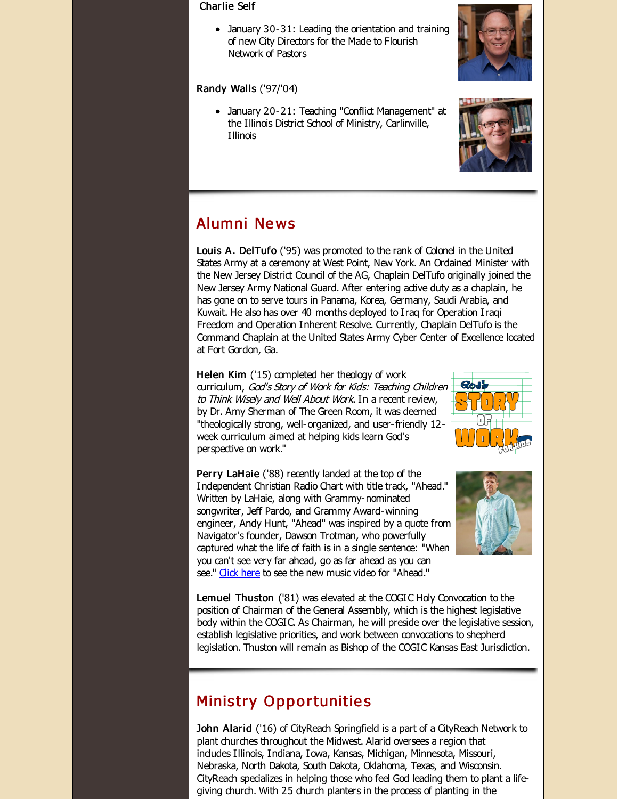#### Charlie Self

January 30-31: Leading the orientation and training of new City Directors for the Made to Flourish Network of Pastors

#### Randy Walls ('97/'04)

January 20-21: Teaching "Conflict Management" at the Illinois District School of Ministry, Carlinville, Illinois





#### Alumni Ne ws

Louis A. DelTufo ('95) was promoted to the rank of Colonel in the United States Army at a ceremony at West Point, New York. An Ordained Minister with the New Jersey District Council of the AG, Chaplain DelTufo originally joined the New Jersey Army National Guard. After entering active duty as a chaplain, he has gone on to serve tours in Panama, Korea, Germany, Saudi Arabia, and Kuwait. He also has over 40 months deployed to Iraq for Operation Iraqi Freedom and Operation Inherent Resolve. Currently, Chaplain DelTufo is the Command Chaplain at the United States Army Cyber Center of Excellence located at Fort Gordon, Ga.

Helen Kim ('15) completed her theology of work curriculum, God's Story of Work for Kids: Teaching Children to Think Wisely and Well About Work. In a recent review, by Dr. Amy Sherman of The Green Room, it was deemed "theologically strong, well-organized, and user-friendly 12 week curriculum aimed at helping kids learn God's perspective on work."



Perry LaHaie ('88) recently landed at the top of the Independent Christian Radio Chart with title track, "Ahead." Written by LaHaie, along with Grammy-nominated songwriter, Jeff Pardo, and Grammy Award-winning engineer, Andy Hunt, "Ahead" was inspired by a quote from Navigator's founder, Dawson Trotman, who powerfully captured what the life of faith is in a single sentence: "When you can't see very far ahead, go as far ahead as you can see." [Click](http://r20.rs6.net/tn.jsp?f=001qNRvmaCXpNg-IymFoJej_VyFXgsE0vulMJDPxyiChsedMjsiysYJ-G0Lw61ZDgu1lCwqt4Dc1yl83_ONHIgD-um2EV4GNMmpaHc33yto8KqALlUnOM8t0A8lIELgLTmOIJUTzZI2bEKCqfDH9cSUQ2z4N24M2WuhNnhPfFy1wR2JWHLrzkrq7feuLL5xuN5PTvOSZCx6YLAOleo3KXqi3UlkPcxJ-Cs_HI5yy19RbYU=&c=&ch=) here to see the new music video for "Ahead."



Lemuel Thuston ('81) was elevated at the COGIC Holy Convocation to the position of Chairman of the General Assembly, which is the highest legislative body within the COGIC. As Chairman, he will preside over the legislative session, establish legislative priorities, and work between convocations to shepherd legislation. Thuston will remain as Bishop of the COGIC Kansas East Jurisdiction.

#### **Ministry Opportunities**

John Alarid ('16) of CityReach Springfield is a part of a CityReach Network to plant churches throughout the Midwest. Alarid oversees a region that includes Illinois, Indiana, Iowa, Kansas, Michigan, Minnesota, Missouri, Nebraska, North Dakota, South Dakota, Oklahoma, Texas, and Wisconsin. CityReach specializes in helping those who feel God leading them to plant a lifegiving church. With 25 church planters in the process of planting in the